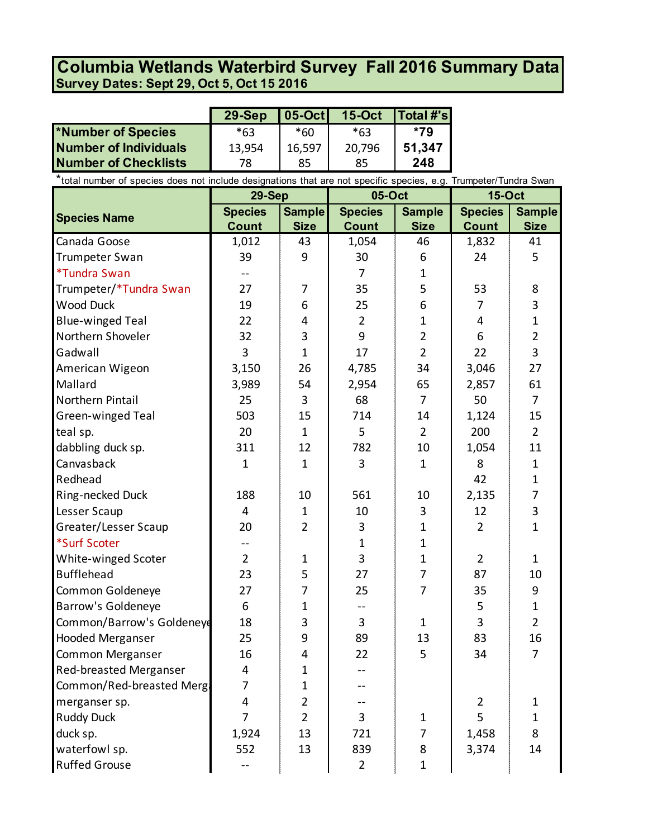## **Survey Dates: Sept 29, Oct 5, Oct 15 2016 Columbia Wetlands Waterbird Survey Fall 2016 Summary Data**

|                             | $29-Sep$ |        | <b>05-Oct</b> 15-Oct | $\vert$ Total #'s $\vert$ |
|-----------------------------|----------|--------|----------------------|---------------------------|
| *Number of Species          | $*63$    | *60    | *63                  | *79                       |
| Number of Individuals       | 13,954   | 16,597 | 20,796               | 51,347                    |
| <b>Number of Checklists</b> | 78       | 85     | 85                   | 248                       |

\*total number of species does not include designations that are not specific species, e.g. Trumpeter/Tundra Swan

|                           | 29-Sep         |                | 05-Oct         |                | <b>15-Oct</b>  |                |
|---------------------------|----------------|----------------|----------------|----------------|----------------|----------------|
| <b>Species Name</b>       | <b>Species</b> | <b>Sample</b>  | <b>Species</b> | <b>Sample</b>  | <b>Species</b> | <b>Sample</b>  |
|                           | <b>Count</b>   | <b>Size</b>    | <b>Count</b>   | <b>Size</b>    | <b>Count</b>   | <b>Size</b>    |
| Canada Goose              | 1,012          | 43             | 1,054          | 46             | 1,832          | 41             |
| Trumpeter Swan            | 39             | 9              | 30             | 6              | 24             | 5              |
| *Tundra Swan              |                |                | 7              | 1              |                |                |
| Trumpeter/*Tundra Swan    | 27             | 7              | 35             | 5              | 53             | 8              |
| <b>Wood Duck</b>          | 19             | 6              | 25             | 6              | 7              | 3              |
| <b>Blue-winged Teal</b>   | 22             | 4              | $\overline{2}$ | 1              | 4              | $\mathbf{1}$   |
| Northern Shoveler         | 32             | 3              | 9              | $\overline{2}$ | 6              | $\overline{2}$ |
| Gadwall                   | 3              | $\mathbf{1}$   | 17             | $\overline{2}$ | 22             | 3              |
| American Wigeon           | 3,150          | 26             | 4,785          | 34             | 3,046          | 27             |
| Mallard                   | 3,989          | 54             | 2,954          | 65             | 2,857          | 61             |
| Northern Pintail          | 25             | 3              | 68             | $\overline{7}$ | 50             | $\overline{7}$ |
| <b>Green-winged Teal</b>  | 503            | 15             | 714            | 14             | 1,124          | 15             |
| teal sp.                  | 20             | $\mathbf{1}$   | 5              | $\overline{2}$ | 200            | $\overline{2}$ |
| dabbling duck sp.         | 311            | 12             | 782            | 10             | 1,054          | 11             |
| Canvasback                | 1              | $\mathbf{1}$   | 3              | 1              | 8              | 1              |
| Redhead                   |                |                |                |                | 42             | $\mathbf{1}$   |
| Ring-necked Duck          | 188            | 10             | 561            | 10             | 2,135          | $\overline{7}$ |
| Lesser Scaup              | $\overline{4}$ | $\mathbf{1}$   | 10             | 3              | 12             | 3              |
| Greater/Lesser Scaup      | 20             | $\overline{2}$ | 3              | 1              | $\overline{2}$ | $\mathbf{1}$   |
| *Surf Scoter              |                |                | 1              | 1              |                |                |
| White-winged Scoter       | $\overline{2}$ | $\mathbf{1}$   | 3              | $\mathbf{1}$   | $\overline{2}$ | $\mathbf{1}$   |
| <b>Bufflehead</b>         | 23             | 5              | 27             | 7              | 87             | 10             |
| Common Goldeneye          | 27             | 7              | 25             | $\overline{7}$ | 35             | 9              |
| Barrow's Goldeneye        | 6              | $\mathbf{1}$   | --             |                | 5              | $\mathbf{1}$   |
| Common/Barrow's Goldeneye | 18             | 3              | 3              | $\mathbf{1}$   | 3              | $\overline{2}$ |
| <b>Hooded Merganser</b>   | 25             | 9              | 89             | 13             | 83             | 16             |
| <b>Common Merganser</b>   | 16             | 4              | 22             | 5              | 34             | 7              |
| Red-breasted Merganser    | 4              | 1              |                |                |                |                |
| Common/Red-breasted Mergi | 7              | $\mathbf 1$    |                |                |                |                |
| merganser sp.             | $\overline{4}$ | $\overline{2}$ |                |                | $\overline{2}$ | 1              |
| <b>Ruddy Duck</b>         | $\overline{7}$ | $\overline{2}$ | 3              | $\mathbf{1}$   | 5              | $\mathbf{1}$   |
| duck sp.                  | 1,924          | 13             | 721            | $\overline{7}$ | 1,458          | 8              |
| waterfowl sp.             | 552            | 13             | 839            | 8              | 3,374          | 14             |
| <b>Ruffed Grouse</b>      | $- -$          |                | $2^{\circ}$    | $\mathbf{1}$   |                |                |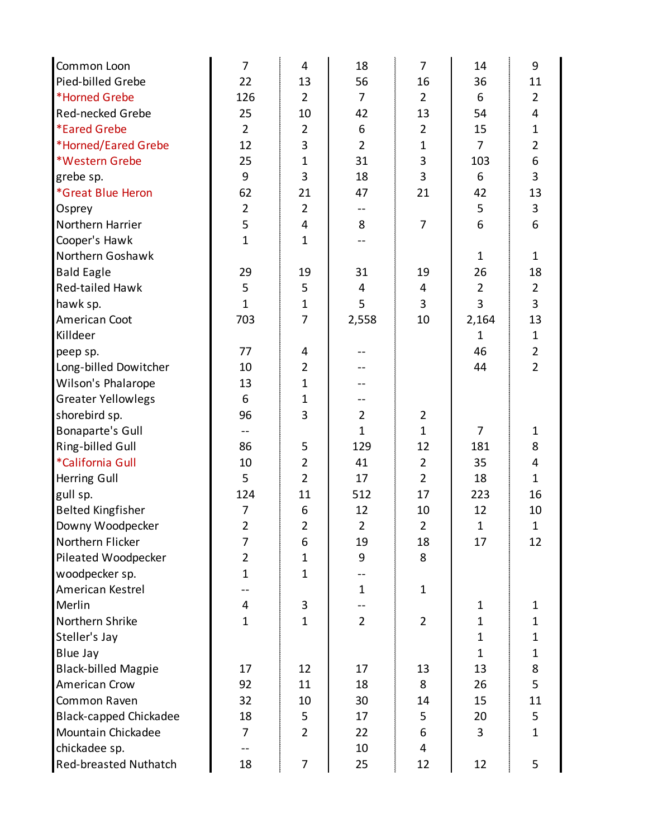| Common Loon                   | 7              | 4              | 18             | $\overline{7}$ | 14             | 9                       |
|-------------------------------|----------------|----------------|----------------|----------------|----------------|-------------------------|
| Pied-billed Grebe             | 22             | 13             | 56             | 16             | 36             | 11                      |
| *Horned Grebe                 | 126            | $\overline{2}$ | 7              | $\overline{2}$ | 6              | $\overline{2}$          |
| Red-necked Grebe              | 25             | 10             | 42             | 13             | 54             | 4                       |
| <i><b>*Eared Grebe</b></i>    | $\overline{2}$ | $\overline{2}$ | 6              | $\overline{2}$ | 15             | $\mathbf{1}$            |
| *Horned/Eared Grebe           | 12             | 3              | $\overline{2}$ | $\mathbf{1}$   | $\overline{7}$ | $\overline{2}$          |
| *Western Grebe                | 25             | $\mathbf{1}$   | 31             | 3              | 103            | $\boldsymbol{6}$        |
| grebe sp.                     | 9              | 3              | 18             | 3              | 6              | 3                       |
| *Great Blue Heron             | 62             | 21             | 47             | 21             | 42             | 13                      |
| Osprey                        | $\overline{2}$ | $\overline{2}$ | --             |                | 5              | $\mathsf 3$             |
| Northern Harrier              | 5              | 4              | 8              | 7              | 6              | 6                       |
| Cooper's Hawk                 | $\mathbf{1}$   | $\mathbf{1}$   |                |                |                |                         |
| Northern Goshawk              |                |                |                |                | $\mathbf{1}$   | $\mathbf{1}$            |
| <b>Bald Eagle</b>             | 29             | 19             | 31             | 19             | 26             | 18                      |
| Red-tailed Hawk               | 5              | 5              | 4              | $\overline{4}$ | $\overline{2}$ | $\overline{2}$          |
| hawk sp.                      | $\mathbf{1}$   | $\mathbf{1}$   | 5              | 3              | 3              | 3                       |
| American Coot                 | 703            | $\overline{7}$ | 2,558          | 10             | 2,164          | 13                      |
| Killdeer                      |                |                |                |                | $\mathbf{1}$   | $\mathbf 1$             |
| peep sp.                      | 77             | 4              |                |                | 46             | $\overline{2}$          |
| Long-billed Dowitcher         | 10             | $\overline{2}$ |                |                | 44             | $\overline{2}$          |
| Wilson's Phalarope            | 13             | $\mathbf{1}$   | --             |                |                |                         |
| <b>Greater Yellowlegs</b>     | 6              | $\mathbf{1}$   |                |                |                |                         |
| shorebird sp.                 | 96             | 3              | $\overline{2}$ | $\overline{2}$ |                |                         |
| <b>Bonaparte's Gull</b>       |                |                | $\mathbf{1}$   | $\mathbf{1}$   | $\overline{7}$ | $\mathbf{1}$            |
| Ring-billed Gull              | 86             | 5              | 129            | 12             | 181            | 8                       |
| *California Gull              | 10             | $\overline{2}$ | 41             | $\overline{2}$ | 35             | $\overline{\mathbf{4}}$ |
| Herring Gull                  | 5              | $\overline{2}$ | 17             | $\overline{2}$ | 18             | $\mathbf{1}$            |
| gull sp.                      | 124            | 11             | 512            | 17             | 223            | 16                      |
| <b>Belted Kingfisher</b>      | 7              | 6              | 12             | 10             | 12             | 10                      |
| Downy Woodpecker              | $\overline{2}$ | $\overline{2}$ | $\overline{2}$ | $\overline{2}$ | $\mathbf{1}$   | $\mathbf{1}$            |
| Northern Flicker              | 7              | 6              | 19             | 18             | 17             | 12                      |
| Pileated Woodpecker           | $\overline{2}$ | $\mathbf{1}$   | 9              | 8              |                |                         |
| woodpecker sp.                | $\mathbf{1}$   | $\mathbf{1}$   | --             |                |                |                         |
| American Kestrel              |                |                | $\mathbf{1}$   | $\mathbf{1}$   |                |                         |
| Merlin                        | $\overline{4}$ | 3              |                |                | 1              | $\mathbf 1$             |
| Northern Shrike               | $\mathbf{1}$   | $\mathbf{1}$   | $\overline{2}$ | $\overline{2}$ | $\mathbf{1}$   | $\mathbf 1$             |
| Steller's Jay                 |                |                |                |                | $\mathbf{1}$   | $\mathbf{1}$            |
| Blue Jay                      |                |                |                |                | $\mathbf{1}$   | $\mathbf 1$             |
| <b>Black-billed Magpie</b>    | 17             | 12             | 17             | 13             | 13             | 8                       |
| American Crow                 | 92             | 11             | 18             | 8              | 26             | 5                       |
| Common Raven                  | 32             | 10             | 30             | 14             | 15             | 11                      |
| <b>Black-capped Chickadee</b> | 18             | 5              | 17             | 5              | 20             | 5                       |
| Mountain Chickadee            | 7              | $\overline{2}$ | 22             | 6              | 3              | $\mathbf{1}$            |
| chickadee sp.                 |                |                | 10             | 4              |                |                         |
| <b>Red-breasted Nuthatch</b>  | 18             | 7              | 25             | 12             | 12             | 5                       |